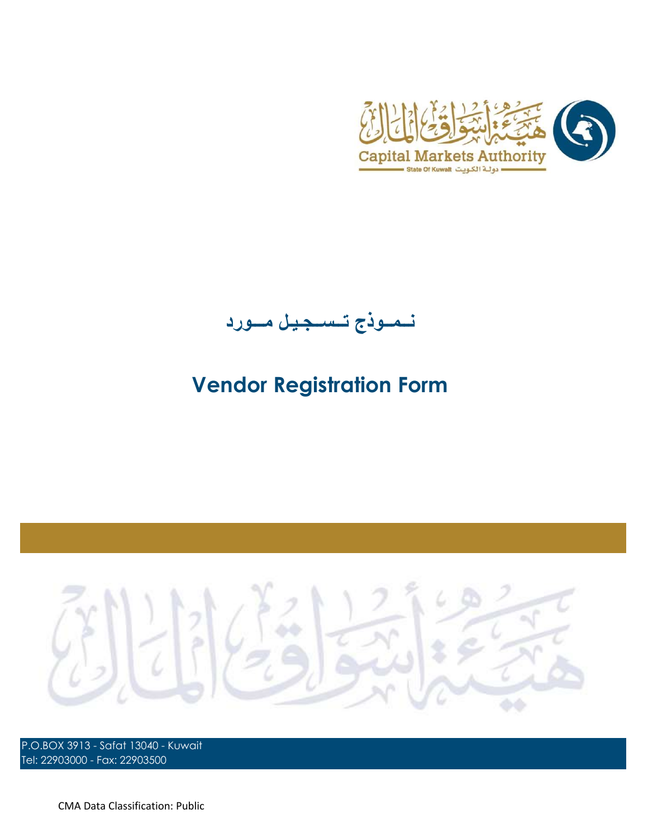

نــمــوذج تــســجـيـل مـــورد

## Vendor Registration Form



P.O.BOX 3913 - Safat 13040 - Kuwait Tel: 22903000 - Fax: 22903500

CMA Data Classification: Public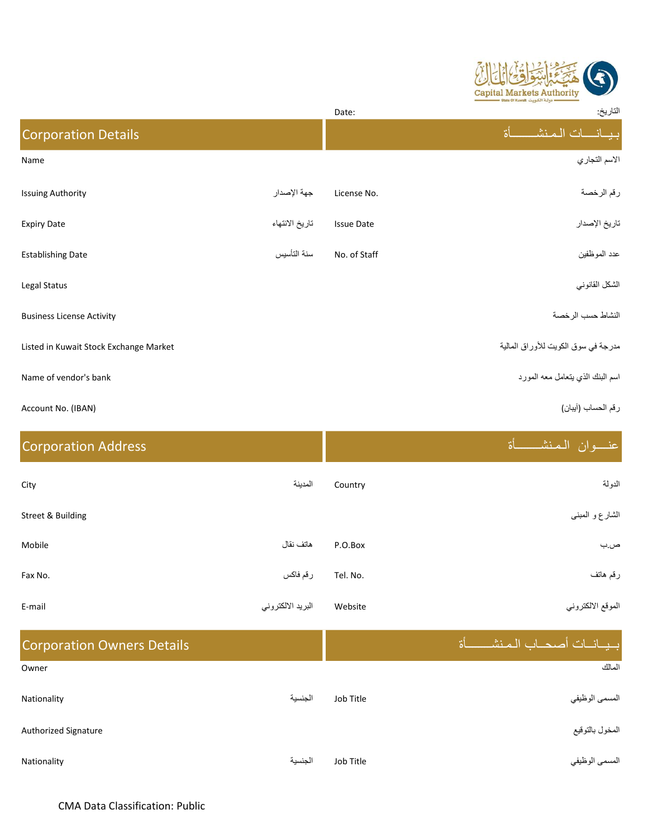

|                                        |                | Date:             | التاريخ:                            |
|----------------------------------------|----------------|-------------------|-------------------------------------|
| <b>Corporation Details</b>             |                |                   | 5ĺ<br>ببيانسات المنشأ               |
| Name                                   |                |                   | الاسم التجاري                       |
| <b>Issuing Authority</b>               | جهة الإصدار    | License No.       | رقم الرخصة                          |
| <b>Expiry Date</b>                     | تاريخ الانتهاء | <b>Issue Date</b> | تاريخ الإصدار                       |
| <b>Establishing Date</b>               | سنة التأسيس    | No. of Staff      | عدد الموظفين                        |
| Legal Status                           |                |                   | الشكل القانوني                      |
| <b>Business License Activity</b>       |                |                   | النشاط حسب الرخصة                   |
| Listed in Kuwait Stock Exchange Market |                |                   | مدرجة في سوق الكويت للأوراق المالية |
| Name of vendor's bank                  |                |                   | اسم البنك الذي يتعامل معه المورد    |
| Account No. (IBAN)                     |                |                   | رقم الحساب (آيبان)                  |

| <b>Corporation Address</b> |                   |          | عنسوان الممنش<br>દો |
|----------------------------|-------------------|----------|---------------------|
| City                       | المدينة           | Country  | الدولة              |
| Street & Building          |                   |          | الشارع و المبنى     |
| Mobile                     | هاتف نقال         | P.O.Box  | ص.ب                 |
| Fax No.                    | رقم فاكس          | Tel. No. | رقم هاتف            |
| E-mail                     | البريد الالكتروني | Website  | الموقع الالكتروني   |
|                            |                   |          |                     |

| <b>Corporation Owners Details</b> |         |           | ابسيسانسات أصحباب الممنشسا<br>ત્રી |
|-----------------------------------|---------|-----------|------------------------------------|
| Owner                             |         |           | المالك                             |
| Nationality                       | الجنسية | Job Title | المسمى الوظيفي                     |
| <b>Authorized Signature</b>       |         |           | المخول بالتوقيع                    |
| Nationality                       | الجنسية | Job Title | المسمى الوظيفي                     |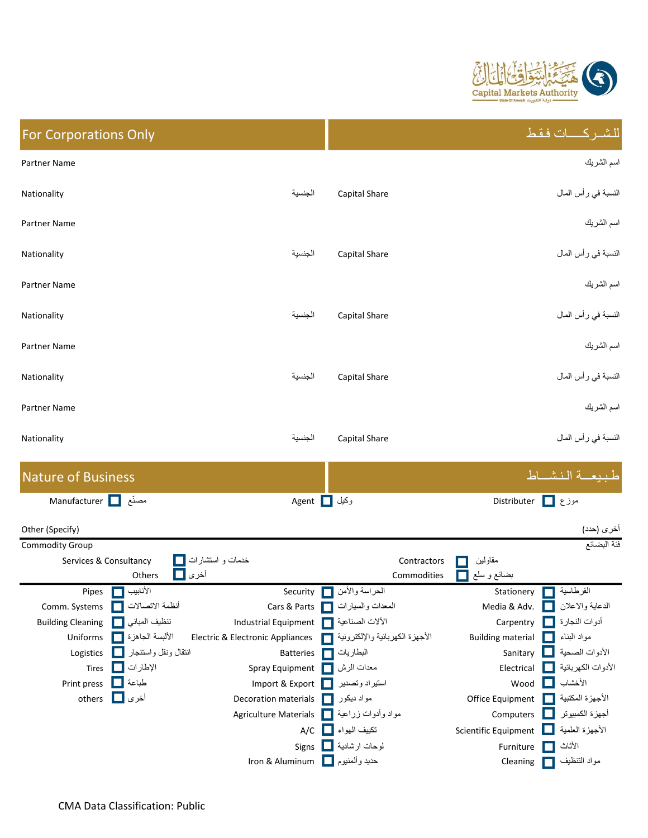

| اسم الشريك<br><b>Partner Name</b>                                                                                                                           |  |
|-------------------------------------------------------------------------------------------------------------------------------------------------------------|--|
|                                                                                                                                                             |  |
| النسبة في رأس المال<br>الجنسية<br>Capital Share<br>Nationality                                                                                              |  |
| اسم الشريك<br>Partner Name                                                                                                                                  |  |
| النسبة في رأس المال<br>الجنسية<br>Capital Share<br>Nationality                                                                                              |  |
| اسم الشريك<br>Partner Name                                                                                                                                  |  |
| النسبة في رأس المال<br>الجنسية<br><b>Capital Share</b><br>Nationality                                                                                       |  |
| اسم الشريك<br>Partner Name                                                                                                                                  |  |
| النسبة في رأس المال<br>الجنسية<br>Capital Share<br>Nationality                                                                                              |  |
| اسم الشريك<br>Partner Name                                                                                                                                  |  |
| النسبة في رأس المال<br>الجنسية<br>Capital Share<br>Nationality                                                                                              |  |
| طبيعة النشاط<br><b>Nature of Business</b>                                                                                                                   |  |
| Manufacturer   Manufacturer<br>وكيل Agent<br>موزع $\Box$<br>Distributer                                                                                     |  |
| أخرى (حدد)<br>Other (Specify)<br>فئة البضائع<br><b>Commodity Group</b>                                                                                      |  |
| خدمات و استشارات<br>مقاولين<br>Services & Consultancy<br>Contractors<br>أخرى<br>بضائع و سلع<br>Others<br>Commodities                                        |  |
| Pipes<br>الأنابيب<br>Security<br>الحراسة والأمن<br>Stationery<br>القرطاسية                                                                                  |  |
| أنظمة الاتصالات<br>المعدات والسيارات<br>الدعاية والاعلان<br>Comm. Systems<br>Cars & Parts<br>Media & Adv.                                                   |  |
| تنظيف المبانى<br>الألات الصناعية<br>أدوات النجارة [ ]<br><b>Building Cleaning</b><br><b>Industrial Equipment</b><br>Carpentry                               |  |
| الأجهزة الكهربائية والإلكترونية<br>الألبسة الجاهزة<br>مواد البناء<br>Electric & Electronic Appliances<br><b>Building material</b><br>Uniforms               |  |
| انتقال ونقل واستئجار  <br>الأدوات الصحية<br>البطاريات<br>Logistics<br>Sanitary<br>H<br><b>Batteries</b>                                                     |  |
| الإطارات<br>الأدوات الكهربائية <mark>[</mark><br>معدات الرش<br>Spray Equipment<br>Electrical<br>Tires                                                       |  |
| الأخشاب<br>طباعة<br>Print press<br>Import & Export<br>استير اد وتصدير<br>Wood<br>H                                                                          |  |
| أخرى <mark>ا</mark> ⊒ا<br>الأجهزة المكتبية<br>others<br>مواد ديكور<br>Decoration materials<br>Office Equipment                                              |  |
| Computers<br>أجهزة الكمبيوتر<br>مواد وأدوات زراعية<br><b>Agriculture Materials</b><br>الأجهزة العلمية<br>تكييف المهواء [ ]<br>$A/C$<br>Scientific Equipment |  |
| لوحات ارشادية<br>الأثاث<br>Signs<br>Furniture<br>П                                                                                                          |  |

Iron & Aluminum Cleaning التنظيف مواد حديد وألمنيوم